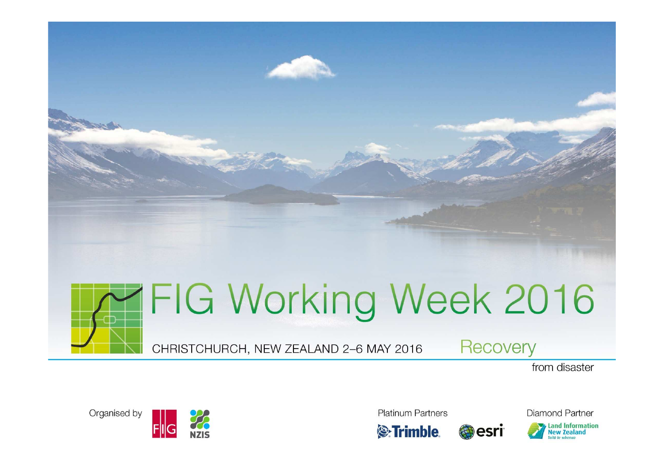



CHRISTCHURCH, NEW ZEALAND 2-6 MAY 2016

**Recovery** 

from disaster



**Platinum Partners** 



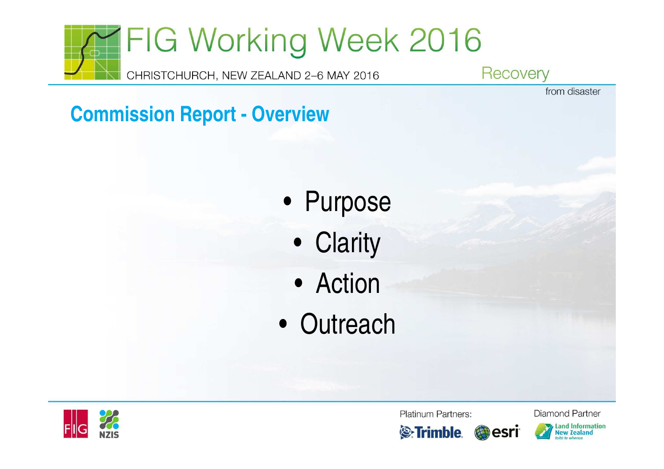

from disaster

### **Commission Report - Overview**

- Purpose
	- Clarity
	- Action
- Outreach



Platinum Partners:





**Land Information New Zealand**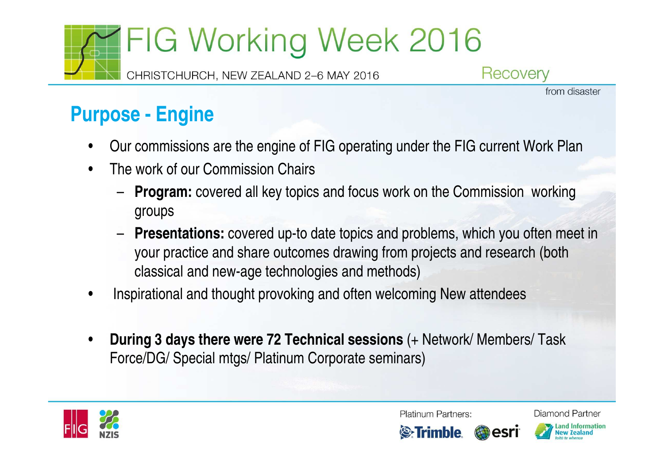CHRISTCHURCH, NEW ZEALAND 2-6 MAY 2016

Recovery

from disaster

**Purpose - Engine**

- •Our commissions are the engine of FIG operating under the FIG current Work Plan
- • The work of our Commission Chairs –
	- **Program:** covered all key topics and focus work on the Commission working groups
	- – **Presentations:** covered up-to date topics and problems, which you often meet in your practice and share outcomes drawing from projects and research (both classical and new-age technologies and methods)
- •Inspirational and thought provoking and often welcoming New attendees
- • **During 3 days there were 72 Technical sessions** (+ Network/ Members/ Task Force/DG/ Special mtgs/ Platinum Corporate seminars)



**Platinum Partners:** 



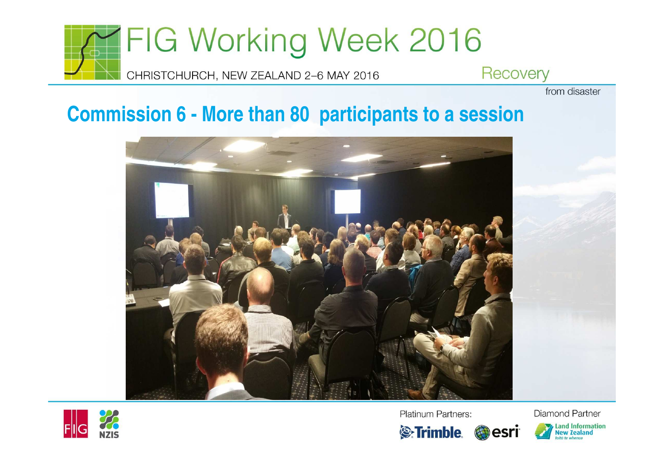

from disaster

### **Commission 6 - More than 80 participants to a session**





Platinum Partners:

**S**:Trimble

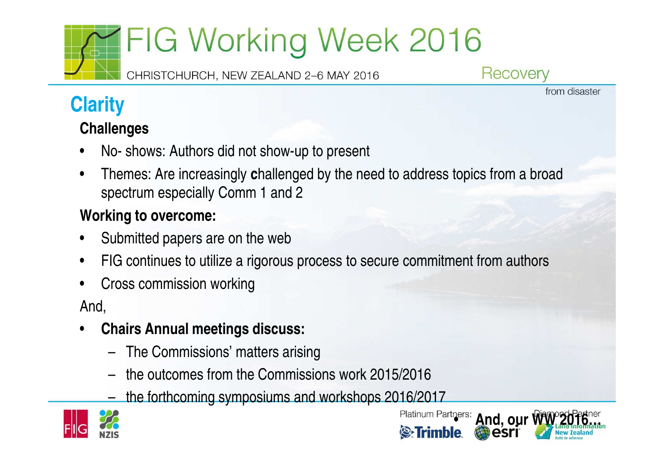CHRISTCHURCH, NEW ZEALAND 2-6 MAY 2016

Recovery

from disaster

### **Clarity**

#### **Challenges**

- •No- shows: Authors did not show-up to present
- • Themes: Are increasingly **c**hallenged by the need to address topics from a broad spectrum especially Comm 1 and 2

### **Working to overcome:**

- •Submitted papers are on the web
- •FIG continues to utilize a rigorous process to secure commitment from authors
- •Cross commission working

#### And,

- • **Chairs Annual meetings discuss:**
	- The Commissions' matters arising
	- the outcomes from the Commissions work 2015/2016
	- the forthcoming symposiums and workshops 2016/2017



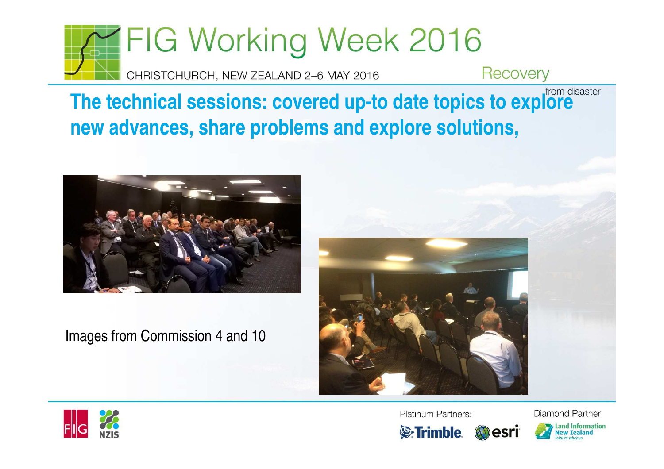

**The technical sessions: covered up-to date topics to explore new advances, share problems and explore solutions,**



Images from Commission 4 and 10





Platinum Partners:



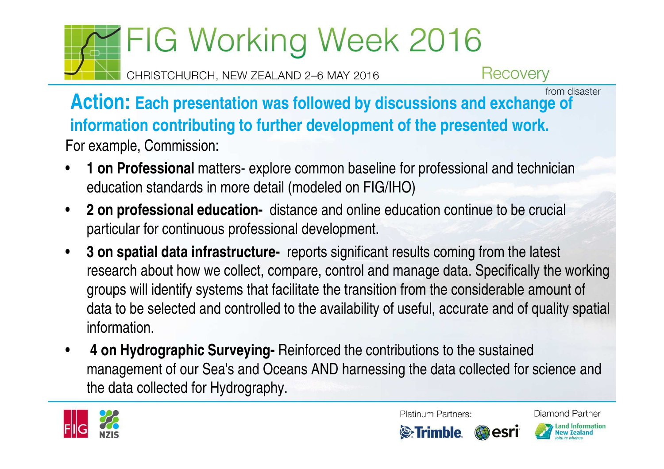CHRISTCHURCH, NEW ZEALAND 2-6 MAY 2016

Recovery

**Action: Each presentation was followed by discussions and exchange of** *From disaster* **information contributing to further development of the presented work.** For example, Commission:

- • **1 on Professional** matters- explore common baseline for professional and technician education standards in more detail (modeled on FIG/IHO)
- $\bullet$  **2 on professional education-** distance and online education continue to be crucial particular for continuous professional development.
- $\bullet$  **3 on spatial data infrastructure-** reports significant results coming from the latest research about how we collect, compare, control and manage data. Specifically the working groups will identify systems that facilitate the transition from the considerable amount of data to be selected and controlled to the availability of useful, accurate and of quality spatial information.
- • **4 on Hydrographic Surveying-** Reinforced the contributions to the sustained management of our Sea's and Oceans AND harnessing the data collected for science and the data collected for Hydrography.



Platinum Partners:



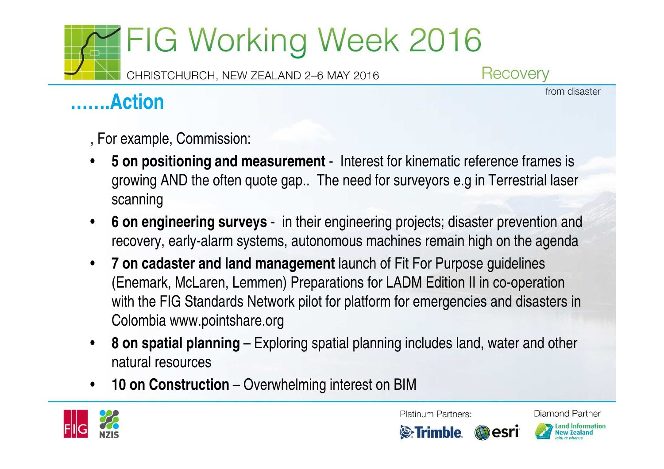CHRISTCHURCH, NEW ZEALAND 2-6 MAY 2016

Recovery

### **…….Action**

from disaster

, For example, Commission:

- • **5 on positioning and measurement** - Interest for kinematic reference frames is growing AND the often quote gap.. The need for surveyors e.g in Terrestrial laser scanning
- • **6 on engineering surveys** - in their engineering projects; disaster prevention and recovery, early-alarm systems, autonomous machines remain high on the agenda
- • **7 on cadaster and land management** launch of Fit For Purpose guidelines (Enemark, McLaren, Lemmen) Preparations for LADM Edition II in co-operation with the FIG Standards Network pilot for platform for emergencies and disasters in Colombia www.pointshare.org
- • **8 on spatial planning** – Exploring spatial planning includes land, water and other natural resources
- •**10 on Construction** – Overwhelming interest on BIM



**Platinum Partners:** 

Diamond Partner

**Land Information** 

**New Zealand** 

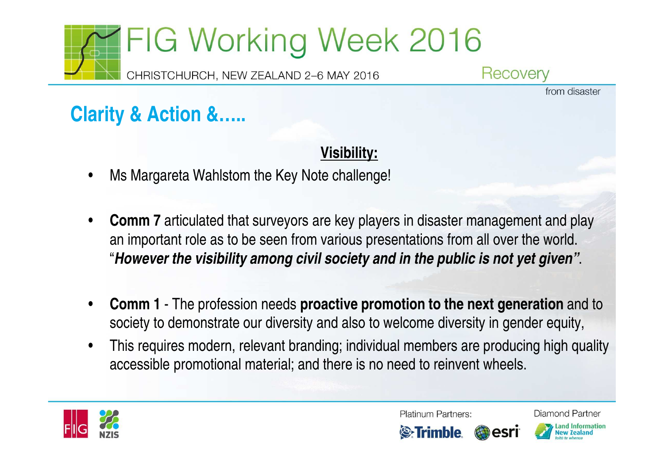

Recovery

from disaster

### **Clarity & Action &…..**

#### **Visibility:**

- •Ms Margareta Wahlstom the Key Note challenge!
- • **Comm <sup>7</sup>**articulated that surveyors are key players in disaster management and play an important role as to be seen from various presentations from all over the world. "**However the visibility among civil society and in the public is not yet given"**.
- • **Comm <sup>1</sup>**- The profession needs **proactive promotion to the next generation** and to society to demonstrate our diversity and also to welcome diversity in gender equity,
- • This requires modern, relevant branding; individual members are producing high quality accessible promotional material; and there is no need to reinvent wheels.



**Platinum Partners:** 



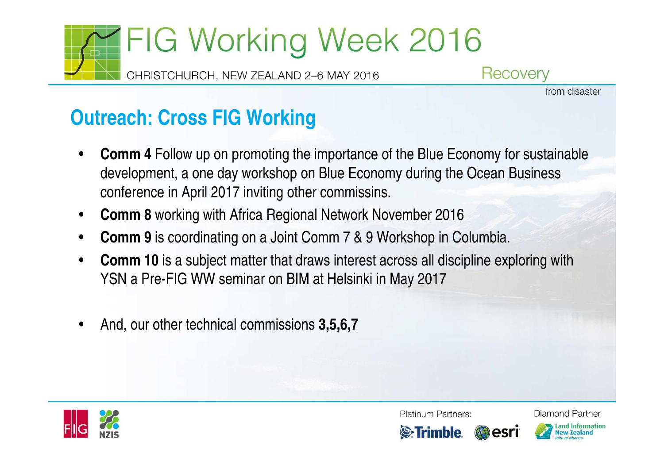

Recovery

from disaster

### **Outreach: Cross FIG Working**

- • **Comm 4** Follow up on promoting the importance of the Blue Economy for sustainable development, a one day workshop on Blue Economy during the Ocean Business conference in April 2017 inviting other commissins.
- •**Comm 8** working with Africa Regional Network November 2016
- •**Comm 9** is coordinating on a Joint Comm 7 & 9 Workshop in Columbia.
- • **Comm 10** is a subject matter that draws interest across all discipline exploring with YSN a Pre-FIG WW seminar on BIM at Helsinki in May 2017
- •And, our other technical commissions **3,5,6,7**



**Platinum Partners:** 





Land Information lew Zealand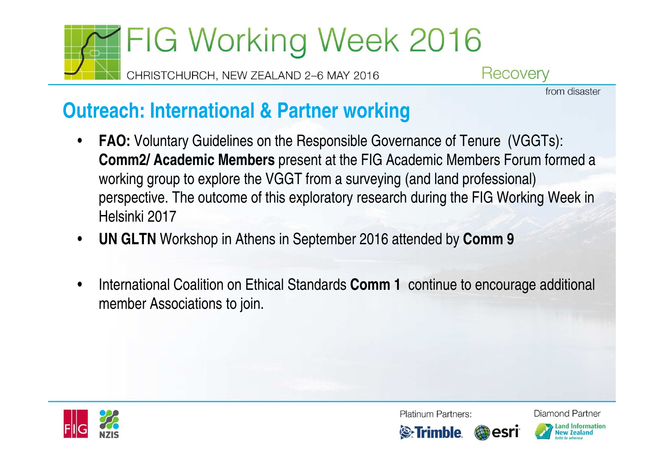

CHRISTCHURCH, NEW ZEALAND 2-6 MAY 2016

Recovery

from disaster

### **Outreach: International & Partner working**

- • **FAO:** Voluntary Guidelines on the Responsible Governance of Tenure (VGGTs): **Comm2/ Academic Members** present at the FIG Academic Members Forum formed a working group to explore the VGGT from a surveying (and land professional) perspective. The outcome of this exploratory research during the FIG Working Week in Helsinki 2017
- •**UN GLTN** Workshop in Athens in September 2016 attended by **Comm 9**
- • International Coalition on Ethical Standards **Comm 1** continue to encourage additional member Associations to join.



**Platinum Partners:**